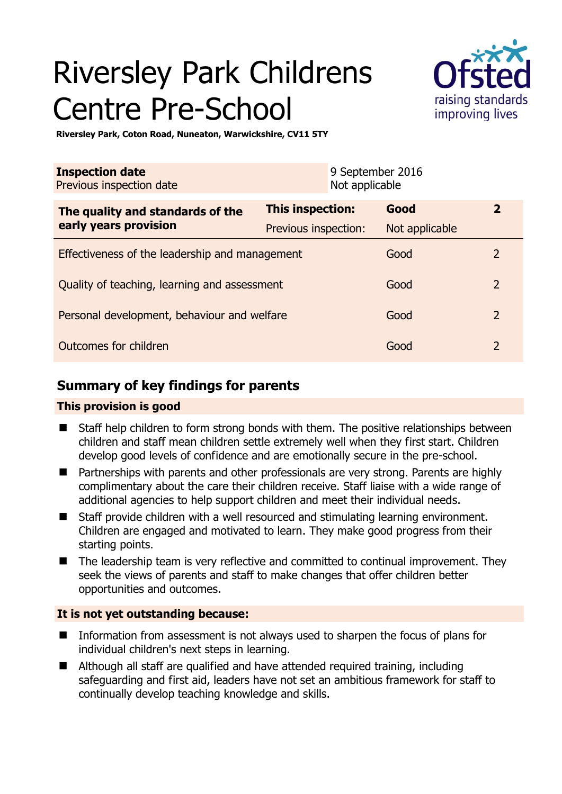# Riversley Park Childrens Centre Pre-School



**Riversley Park, Coton Road, Nuneaton, Warwickshire, CV11 5TY** 

| <b>Inspection date</b><br>Previous inspection date |                      | 9 September 2016<br>Not applicable |                |                |
|----------------------------------------------------|----------------------|------------------------------------|----------------|----------------|
| The quality and standards of the                   | This inspection:     |                                    | Good           | $\overline{2}$ |
| early years provision                              | Previous inspection: |                                    | Not applicable |                |
| Effectiveness of the leadership and management     |                      |                                    | Good           | 2              |
| Quality of teaching, learning and assessment       |                      |                                    | Good           | $\overline{2}$ |
| Personal development, behaviour and welfare        |                      |                                    | Good           | $\overline{2}$ |
| Outcomes for children                              |                      |                                    | Good           | $\overline{2}$ |

# **Summary of key findings for parents**

## **This provision is good**

- Staff help children to form strong bonds with them. The positive relationships between children and staff mean children settle extremely well when they first start. Children develop good levels of confidence and are emotionally secure in the pre-school.
- Partnerships with parents and other professionals are very strong. Parents are highly complimentary about the care their children receive. Staff liaise with a wide range of additional agencies to help support children and meet their individual needs.
- Staff provide children with a well resourced and stimulating learning environment. Children are engaged and motivated to learn. They make good progress from their starting points.
- The leadership team is very reflective and committed to continual improvement. They seek the views of parents and staff to make changes that offer children better opportunities and outcomes.

# **It is not yet outstanding because:**

- Information from assessment is not always used to sharpen the focus of plans for individual children's next steps in learning.
- Although all staff are qualified and have attended required training, including safeguarding and first aid, leaders have not set an ambitious framework for staff to continually develop teaching knowledge and skills.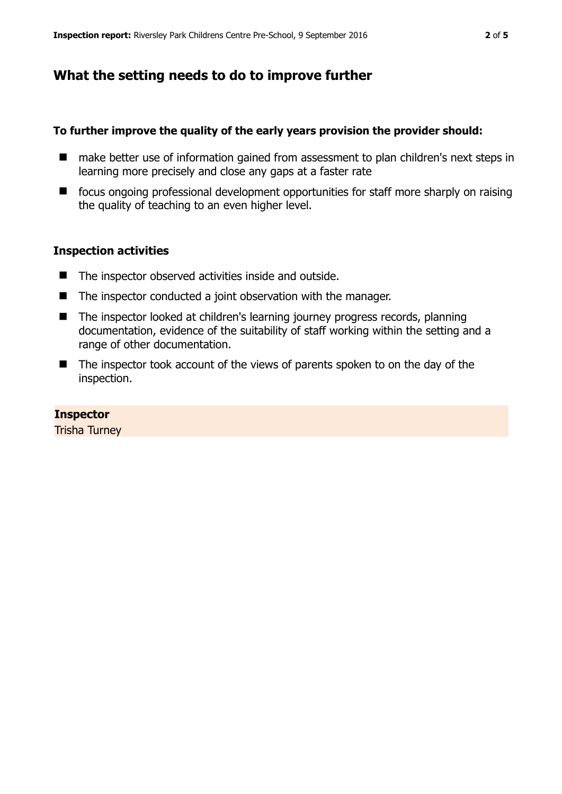# **What the setting needs to do to improve further**

#### **To further improve the quality of the early years provision the provider should:**

- make better use of information gained from assessment to plan children's next steps in learning more precisely and close any gaps at a faster rate
- focus ongoing professional development opportunities for staff more sharply on raising the quality of teaching to an even higher level.

#### **Inspection activities**

- The inspector observed activities inside and outside.
- The inspector conducted a joint observation with the manager.
- The inspector looked at children's learning journey progress records, planning documentation, evidence of the suitability of staff working within the setting and a range of other documentation.
- The inspector took account of the views of parents spoken to on the day of the inspection.

#### **Inspector**

Trisha Turney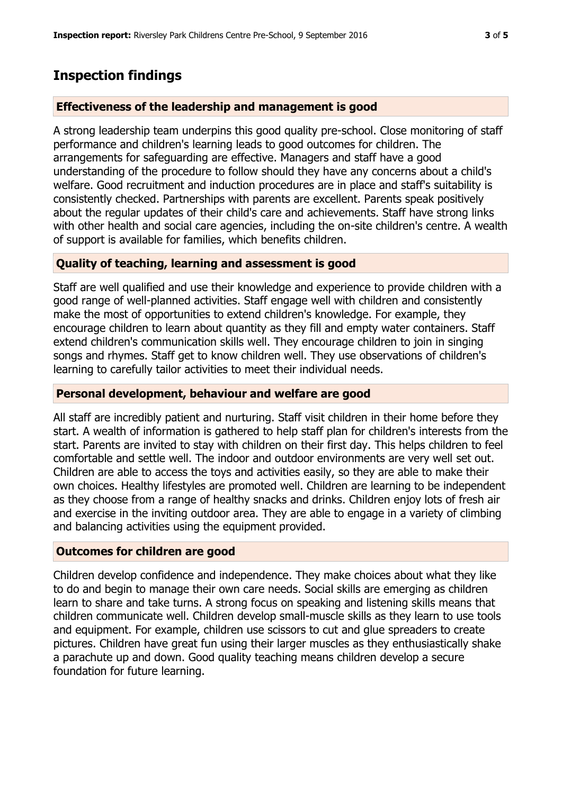# **Inspection findings**

## **Effectiveness of the leadership and management is good**

A strong leadership team underpins this good quality pre-school. Close monitoring of staff performance and children's learning leads to good outcomes for children. The arrangements for safeguarding are effective. Managers and staff have a good understanding of the procedure to follow should they have any concerns about a child's welfare. Good recruitment and induction procedures are in place and staff's suitability is consistently checked. Partnerships with parents are excellent. Parents speak positively about the regular updates of their child's care and achievements. Staff have strong links with other health and social care agencies, including the on-site children's centre. A wealth of support is available for families, which benefits children.

## **Quality of teaching, learning and assessment is good**

Staff are well qualified and use their knowledge and experience to provide children with a good range of well-planned activities. Staff engage well with children and consistently make the most of opportunities to extend children's knowledge. For example, they encourage children to learn about quantity as they fill and empty water containers. Staff extend children's communication skills well. They encourage children to join in singing songs and rhymes. Staff get to know children well. They use observations of children's learning to carefully tailor activities to meet their individual needs.

## **Personal development, behaviour and welfare are good**

All staff are incredibly patient and nurturing. Staff visit children in their home before they start. A wealth of information is gathered to help staff plan for children's interests from the start. Parents are invited to stay with children on their first day. This helps children to feel comfortable and settle well. The indoor and outdoor environments are very well set out. Children are able to access the toys and activities easily, so they are able to make their own choices. Healthy lifestyles are promoted well. Children are learning to be independent as they choose from a range of healthy snacks and drinks. Children enjoy lots of fresh air and exercise in the inviting outdoor area. They are able to engage in a variety of climbing and balancing activities using the equipment provided.

## **Outcomes for children are good**

Children develop confidence and independence. They make choices about what they like to do and begin to manage their own care needs. Social skills are emerging as children learn to share and take turns. A strong focus on speaking and listening skills means that children communicate well. Children develop small-muscle skills as they learn to use tools and equipment. For example, children use scissors to cut and glue spreaders to create pictures. Children have great fun using their larger muscles as they enthusiastically shake a parachute up and down. Good quality teaching means children develop a secure foundation for future learning.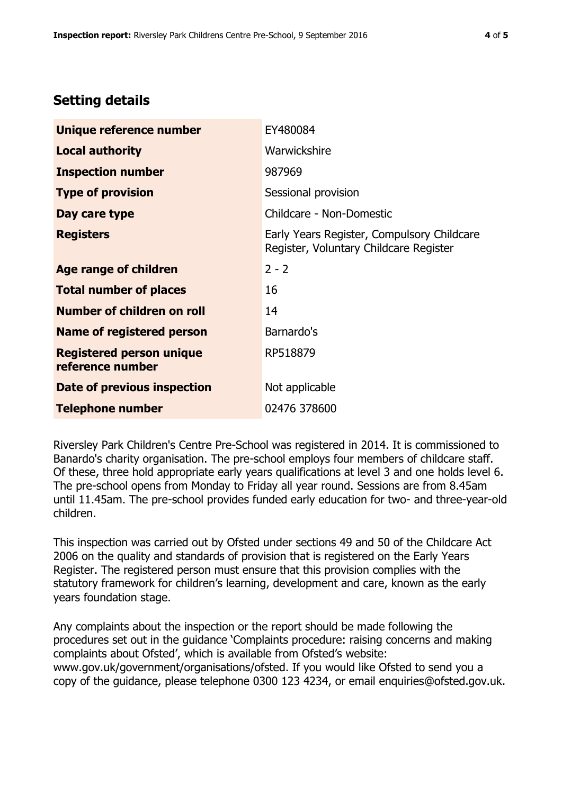# **Setting details**

| Unique reference number                             | EY480084                                                                             |  |
|-----------------------------------------------------|--------------------------------------------------------------------------------------|--|
| <b>Local authority</b>                              | Warwickshire                                                                         |  |
| <b>Inspection number</b>                            | 987969                                                                               |  |
| <b>Type of provision</b>                            | Sessional provision                                                                  |  |
| Day care type                                       | Childcare - Non-Domestic                                                             |  |
| <b>Registers</b>                                    | Early Years Register, Compulsory Childcare<br>Register, Voluntary Childcare Register |  |
| Age range of children                               | $2 - 2$                                                                              |  |
| <b>Total number of places</b>                       | 16                                                                                   |  |
| Number of children on roll                          | 14                                                                                   |  |
| Name of registered person                           | Barnardo's                                                                           |  |
| <b>Registered person unique</b><br>reference number | RP518879                                                                             |  |
| Date of previous inspection                         | Not applicable                                                                       |  |
| <b>Telephone number</b>                             | 02476 378600                                                                         |  |

Riversley Park Children's Centre Pre-School was registered in 2014. It is commissioned to Banardo's charity organisation. The pre-school employs four members of childcare staff. Of these, three hold appropriate early years qualifications at level 3 and one holds level 6. The pre-school opens from Monday to Friday all year round. Sessions are from 8.45am until 11.45am. The pre-school provides funded early education for two- and three-year-old children.

This inspection was carried out by Ofsted under sections 49 and 50 of the Childcare Act 2006 on the quality and standards of provision that is registered on the Early Years Register. The registered person must ensure that this provision complies with the statutory framework for children's learning, development and care, known as the early years foundation stage.

Any complaints about the inspection or the report should be made following the procedures set out in the guidance 'Complaints procedure: raising concerns and making complaints about Ofsted', which is available from Ofsted's website: www.gov.uk/government/organisations/ofsted. If you would like Ofsted to send you a copy of the guidance, please telephone 0300 123 4234, or email enquiries@ofsted.gov.uk.